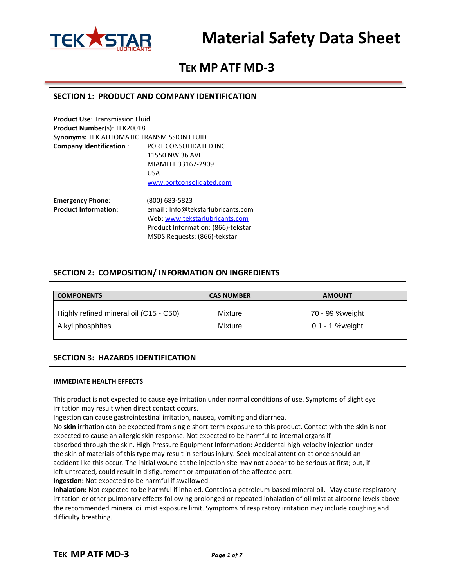

# **TEK MP ATF MD-3**

### **SECTION 1: PRODUCT AND COMPANY IDENTIFICATION**

| <b>Product Use: Transmission Fluid</b>            |                                    |
|---------------------------------------------------|------------------------------------|
| <b>Product Number(s): TEK20018</b>                |                                    |
| <b>Synonyms: TEK AUTOMATIC TRANSMISSION FLUID</b> |                                    |
| <b>Company Identification:</b>                    | PORT CONSOLIDATED INC.             |
|                                                   | 11550 NW 36 AVE                    |
|                                                   | MIAMI FL 33167-2909                |
|                                                   | <b>USA</b>                         |
|                                                   | www.portconsolidated.com           |
| <b>Emergency Phone:</b>                           | (800) 683-5823                     |
| <b>Product Information:</b>                       | email: Info@tekstarlubricants.com  |
|                                                   | Web: www.tekstarlubricants.com     |
|                                                   | Product Information: (866)-tekstar |

**SECTION 2: COMPOSITION/ INFORMATION ON INGREDIENTS**

MSDS Requests: (866)-tekstar

| <b>COMPONENTS</b>                      | <b>CAS NUMBER</b> | <b>AMOUNT</b>      |
|----------------------------------------|-------------------|--------------------|
| Highly refined mineral oil (C15 - C50) | Mixture           | 70 - 99 % weight   |
| Alkyl phosphites                       | Mixture           | $0.1 - 1$ % weight |

### **SECTION 3: HAZARDS IDENTIFICATION**

#### **IMMEDIATE HEALTH EFFECTS**

This product is not expected to cause **eye** irritation under normal conditions of use. Symptoms of slight eye irritation may result when direct contact occurs.

Ingestion can cause gastrointestinal irritation, nausea, vomiting and diarrhea.

No **skin** irritation can be expected from single short-term exposure to this product. Contact with the skin is not expected to cause an allergic skin response. Not expected to be harmful to internal organs if absorbed through the skin. High-Pressure Equipment Information: Accidental high-velocity injection under the skin of materials of this type may result in serious injury. Seek medical attention at once should an accident like this occur. The initial wound at the injection site may not appear to be serious at first; but, if

left untreated, could result in disfigurement or amputation of the affected part.

**Ingestion:** Not expected to be harmful if swallowed.

**Inhalation:** Not expected to be harmful if inhaled. Contains a petroleum-based mineral oil. May cause respiratory irritation or other pulmonary effects following prolonged or repeated inhalation of oil mist at airborne levels above the recommended mineral oil mist exposure limit. Symptoms of respiratory irritation may include coughing and difficulty breathing.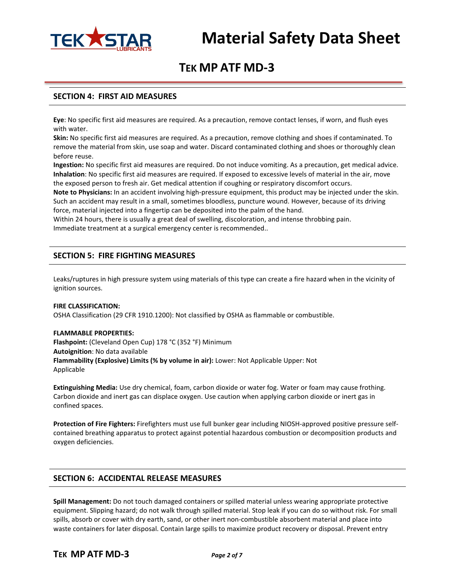

# **TEK MP ATF MD-3**

### **SECTION 4: FIRST AID MEASURES**

**Eye**: No specific first aid measures are required. As a precaution, remove contact lenses, if worn, and flush eyes with water.

**Skin:** No specific first aid measures are required. As a precaution, remove clothing and shoes if contaminated. To remove the material from skin, use soap and water. Discard contaminated clothing and shoes or thoroughly clean before reuse.

**Ingestion:** No specific first aid measures are required. Do not induce vomiting. As a precaution, get medical advice. **Inhalation**: No specific first aid measures are required. If exposed to excessive levels of material in the air, move the exposed person to fresh air. Get medical attention if coughing or respiratory discomfort occurs.

**Note to Physicians:** In an accident involving high-pressure equipment, this product may be injected under the skin. Such an accident may result in a small, sometimes bloodless, puncture wound. However, because of its driving force, material injected into a fingertip can be deposited into the palm of the hand.

Within 24 hours, there is usually a great deal of swelling, discoloration, and intense throbbing pain. Immediate treatment at a surgical emergency center is recommended..

# **SECTION 5: FIRE FIGHTING MEASURES**

Leaks/ruptures in high pressure system using materials of this type can create a fire hazard when in the vicinity of ignition sources.

#### **FIRE CLASSIFICATION:**

OSHA Classification (29 CFR 1910.1200): Not classified by OSHA as flammable or combustible.

#### **FLAMMABLE PROPERTIES:**

**Flashpoint:** (Cleveland Open Cup) 178 °C (352 °F) Minimum **Autoignition**: No data available **Flammability (Explosive) Limits (% by volume in air):** Lower: Not Applicable Upper: Not Applicable

**Extinguishing Media:** Use dry chemical, foam, carbon dioxide or water fog. Water or foam may cause frothing. Carbon dioxide and inert gas can displace oxygen. Use caution when applying carbon dioxide or inert gas in confined spaces.

**Protection of Fire Fighters:** Firefighters must use full bunker gear including NIOSH-approved positive pressure selfcontained breathing apparatus to protect against potential hazardous combustion or decomposition products and oxygen deficiencies.

### **SECTION 6: ACCIDENTAL RELEASE MEASURES**

**Spill Management:** Do not touch damaged containers or spilled material unless wearing appropriate protective equipment. Slipping hazard; do not walk through spilled material. Stop leak if you can do so without risk. For small spills, absorb or cover with dry earth, sand, or other inert non-combustible absorbent material and place into waste containers for later disposal. Contain large spills to maximize product recovery or disposal. Prevent entry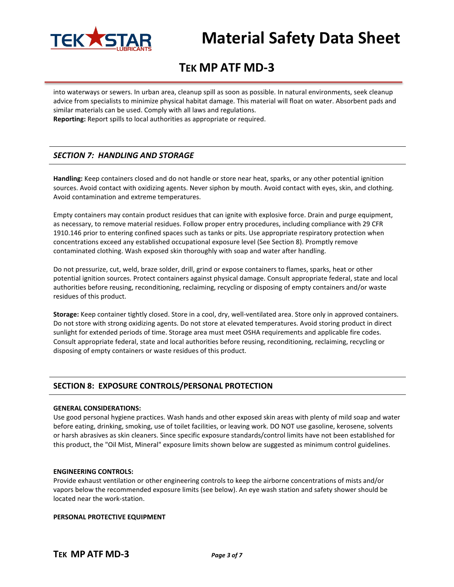

# **TEK MP ATF MD-3**

into waterways or sewers. In urban area, cleanup spill as soon as possible. In natural environments, seek cleanup advice from specialists to minimize physical habitat damage. This material will float on water. Absorbent pads and similar materials can be used. Comply with all laws and regulations.

**Reporting:** Report spills to local authorities as appropriate or required.

# *SECTION 7: HANDLING AND STORAGE*

**Handling:** Keep containers closed and do not handle or store near heat, sparks, or any other potential ignition sources. Avoid contact with oxidizing agents. Never siphon by mouth. Avoid contact with eyes, skin, and clothing. Avoid contamination and extreme temperatures.

Empty containers may contain product residues that can ignite with explosive force. Drain and purge equipment, as necessary, to remove material residues. Follow proper entry procedures, including compliance with 29 CFR 1910.146 prior to entering confined spaces such as tanks or pits. Use appropriate respiratory protection when concentrations exceed any established occupational exposure level (See Section 8). Promptly remove contaminated clothing. Wash exposed skin thoroughly with soap and water after handling.

Do not pressurize, cut, weld, braze solder, drill, grind or expose containers to flames, sparks, heat or other potential ignition sources. Protect containers against physical damage. Consult appropriate federal, state and local authorities before reusing, reconditioning, reclaiming, recycling or disposing of empty containers and/or waste residues of this product.

**Storage:** Keep container tightly closed. Store in a cool, dry, well-ventilated area. Store only in approved containers. Do not store with strong oxidizing agents. Do not store at elevated temperatures. Avoid storing product in direct sunlight for extended periods of time. Storage area must meet OSHA requirements and applicable fire codes. Consult appropriate federal, state and local authorities before reusing, reconditioning, reclaiming, recycling or disposing of empty containers or waste residues of this product.

# **SECTION 8: EXPOSURE CONTROLS/PERSONAL PROTECTION**

#### **GENERAL CONSIDERATIONS:**

Use good personal hygiene practices. Wash hands and other exposed skin areas with plenty of mild soap and water before eating, drinking, smoking, use of toilet facilities, or leaving work. DO NOT use gasoline, kerosene, solvents or harsh abrasives as skin cleaners. Since specific exposure standards/control limits have not been established for this product, the "Oil Mist, Mineral" exposure limits shown below are suggested as minimum control guidelines.

#### **ENGINEERING CONTROLS:**

Provide exhaust ventilation or other engineering controls to keep the airborne concentrations of mists and/or vapors below the recommended exposure limits (see below). An eye wash station and safety shower should be located near the work-station.

#### **PERSONAL PROTECTIVE EQUIPMENT**

**TEK MP ATF MD-3** *Page 3 of 7*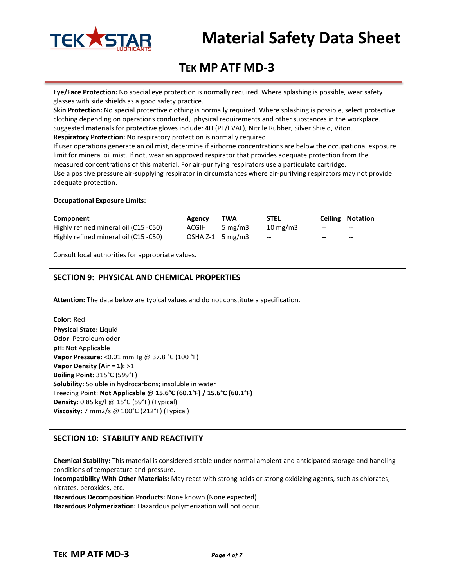

# **TEK MP ATF MD-3**

**Eye/Face Protection:** No special eye protection is normally required. Where splashing is possible, wear safety glasses with side shields as a good safety practice.

**Skin Protection:** No special protective clothing is normally required. Where splashing is possible, select protective clothing depending on operations conducted, physical requirements and other substances in the workplace. Suggested materials for protective gloves include: 4H (PE/EVAL), Nitrile Rubber, Silver Shield, Viton. **Respiratory Protection:** No respiratory protection is normally required.

If user operations generate an oil mist, determine if airborne concentrations are below the occupational exposure limit for mineral oil mist. If not, wear an approved respirator that provides adequate protection from the measured concentrations of this material. For air-purifying respirators use a particulate cartridge.

Use a positive pressure air-supplying respirator in circumstances where air-purifying respirators may not provide adequate protection.

#### **Occupational Exposure Limits:**

| Component                             | <b>Agency</b>      | TWA        | <b>STEL</b>       |       | <b>Ceiling Notation</b> |
|---------------------------------------|--------------------|------------|-------------------|-------|-------------------------|
| Highly refined mineral oil (C15 -C50) | ACGIH              | 5 mg/m $3$ | $10 \text{ mg/m}$ | $-$   | $- -$                   |
| Highly refined mineral oil (C15 -C50) | OSHA $Z-1$ 5 mg/m3 |            | $-$               | $- -$ | $- -$                   |

Consult local authorities for appropriate values.

### **SECTION 9: PHYSICAL AND CHEMICAL PROPERTIES**

**Attention:** The data below are typical values and do not constitute a specification.

**Color:** Red **Physical State:** Liquid **Odor**: Petroleum odor **pH:** Not Applicable **Vapor Pressure:** <0.01 mmHg @ 37.8 °C (100 °F) **Vapor Density (Air = 1):** >1 **Boiling Point:** 315°C (599°F) **Solubility:** Soluble in hydrocarbons; insoluble in water Freezing Point: **Not Applicable @ 15.6°C (60.1°F) / 15.6°C (60.1°F) Density:** 0.85 kg/l @ 15°C (59°F) (Typical) **Viscosity:** 7 mm2/s @ 100°C (212°F) (Typical)

# **SECTION 10: STABILITY AND REACTIVITY**

**Chemical Stability:** This material is considered stable under normal ambient and anticipated storage and handling conditions of temperature and pressure.

**Incompatibility With Other Materials:** May react with strong acids or strong oxidizing agents, such as chlorates, nitrates, peroxides, etc.

**Hazardous Decomposition Products:** None known (None expected)

**Hazardous Polymerization:** Hazardous polymerization will not occur.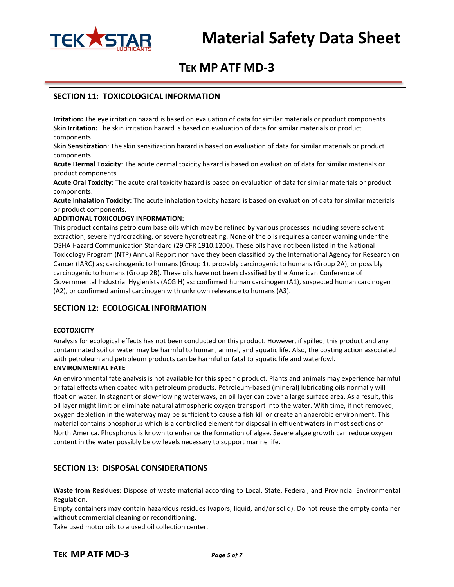

# **TEK MP ATF MD-3**

### **SECTION 11: TOXICOLOGICAL INFORMATION**

**Irritation:** The eye irritation hazard is based on evaluation of data for similar materials or product components. **Skin Irritation:** The skin irritation hazard is based on evaluation of data for similar materials or product components.

**Skin Sensitization**: The skin sensitization hazard is based on evaluation of data for similar materials or product components.

**Acute Dermal Toxicity**: The acute dermal toxicity hazard is based on evaluation of data for similar materials or product components.

**Acute Oral Toxicity:** The acute oral toxicity hazard is based on evaluation of data for similar materials or product components.

**Acute Inhalation Toxicity:** The acute inhalation toxicity hazard is based on evaluation of data for similar materials or product components.

#### **ADDITIONAL TOXICOLOGY INFORMATION:**

This product contains petroleum base oils which may be refined by various processes including severe solvent extraction, severe hydrocracking, or severe hydrotreating. None of the oils requires a cancer warning under the OSHA Hazard Communication Standard (29 CFR 1910.1200). These oils have not been listed in the National Toxicology Program (NTP) Annual Report nor have they been classified by the International Agency for Research on Cancer (IARC) as; carcinogenic to humans (Group 1), probably carcinogenic to humans (Group 2A), or possibly carcinogenic to humans (Group 2B). These oils have not been classified by the American Conference of Governmental Industrial Hygienists (ACGIH) as: confirmed human carcinogen (A1), suspected human carcinogen (A2), or confirmed animal carcinogen with unknown relevance to humans (A3).

### **SECTION 12: ECOLOGICAL INFORMATION**

#### **ECOTOXICITY**

Analysis for ecological effects has not been conducted on this product. However, if spilled, this product and any contaminated soil or water may be harmful to human, animal, and aquatic life. Also, the coating action associated with petroleum and petroleum products can be harmful or fatal to aquatic life and waterfowl.

# **ENVIRONMENTAL FATE**

An environmental fate analysis is not available for this specific product. Plants and animals may experience harmful or fatal effects when coated with petroleum products. Petroleum-based (mineral) lubricating oils normally will float on water. In stagnant or slow-flowing waterways, an oil layer can cover a large surface area. As a result, this oil layer might limit or eliminate natural atmospheric oxygen transport into the water. With time, if not removed, oxygen depletion in the waterway may be sufficient to cause a fish kill or create an anaerobic environment. This material contains phosphorus which is a controlled element for disposal in effluent waters in most sections of North America. Phosphorus is known to enhance the formation of algae. Severe algae growth can reduce oxygen content in the water possibly below levels necessary to support marine life.

### **SECTION 13: DISPOSAL CONSIDERATIONS**

**Waste from Residues:** Dispose of waste material according to Local, State, Federal, and Provincial Environmental Regulation.

Empty containers may contain hazardous residues (vapors, liquid, and/or solid). Do not reuse the empty container without commercial cleaning or reconditioning.

Take used motor oils to a used oil collection center.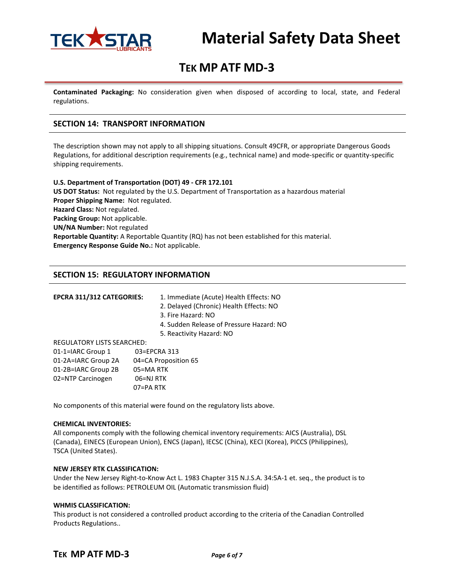

# **TEK MP ATF MD-3**

**Contaminated Packaging:** No consideration given when disposed of according to local, state, and Federal regulations.

## **SECTION 14: TRANSPORT INFORMATION**

The description shown may not apply to all shipping situations. Consult 49CFR, or appropriate Dangerous Goods Regulations, for additional description requirements (e.g., technical name) and mode-specific or quantity-specific shipping requirements.

**U.S. Department of Transportation (DOT) 49 - CFR 172.101 US DOT Status:** Not regulated by the U.S. Department of Transportation as a hazardous material **Proper Shipping Name:** Not regulated. **Hazard Class:** Not regulated. **Packing Group:** Not applicable. **UN/NA Number:** Not regulated **Reportable Quantity:** A Reportable Quantity (RQ) has not been established for this material. **Emergency Response Guide No.:** Not applicable.

### **SECTION 15: REGULATORY INFORMATION**

| EPCRA 311/312 CATEGORIES:         | 1. Immediate (Acute) Health Effects: NO<br>2. Delayed (Chronic) Health Effects: NO |  |
|-----------------------------------|------------------------------------------------------------------------------------|--|
|                                   | 3. Fire Hazard: NO                                                                 |  |
|                                   | 4. Sudden Release of Pressure Hazard: NO                                           |  |
|                                   | 5. Reactivity Hazard: NO                                                           |  |
| <b>REGULATORY LISTS SEARCHED:</b> |                                                                                    |  |
| 01-1=IARC Group 1                 | 03=EPCRA 313                                                                       |  |
| 01-2A=IARC Group 2A               | 04=CA Proposition 65                                                               |  |
| 01-2B=IARC Group 2B               | 05=MA RTK                                                                          |  |
| 02=NTP Carcinogen                 | 06=NJ RTK                                                                          |  |
|                                   | N7=PA RTK∩                                                                         |  |

No components of this material were found on the regulatory lists above.

#### **CHEMICAL INVENTORIES:**

All components comply with the following chemical inventory requirements: AICS (Australia), DSL (Canada), EINECS (European Union), ENCS (Japan), IECSC (China), KECI (Korea), PICCS (Philippines), TSCA (United States).

#### **NEW JERSEY RTK CLASSIFICATION:**

Under the New Jersey Right-to-Know Act L. 1983 Chapter 315 N.J.S.A. 34:5A-1 et. seq., the product is to be identified as follows: PETROLEUM OIL (Automatic transmission fluid)

#### **WHMIS CLASSIFICATION:**

This product is not considered a controlled product according to the criteria of the Canadian Controlled Products Regulations..